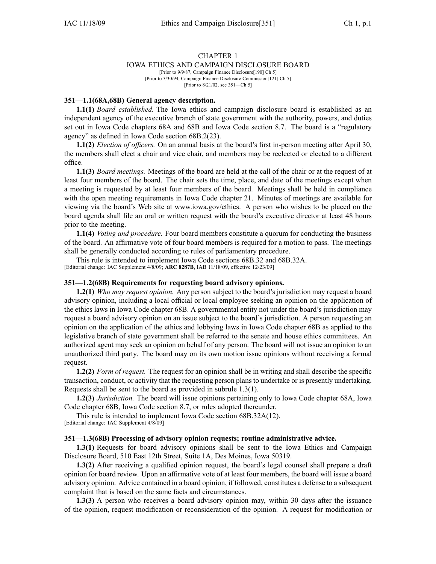# CHAPTER 1

# IOWA ETHICS AND CAMPAIGN DISCLOSURE BOARD

[Prior to 9/9/87, Campaign Finance Disclosure[190] Ch 5] [Prior to 3/30/94, Campaign Finance Disclosure Commission[121] Ch 5] [Prior to 8/21/02, see 351—Ch 5]

### **351—1.1(68A,68B) General agency description.**

**1.1(1)** *Board established.* The Iowa ethics and campaign disclosure board is established as an independent agency of the executive branch of state governmen<sup>t</sup> with the authority, powers, and duties set out in Iowa Code chapters 68A and 68B and Iowa Code section 8.7. The board is <sup>a</sup> "regulatory agency" as defined in Iowa Code section 68B.2(23).

**1.1(2)** *Election of officers.* On an annual basis at the board's first in-person meeting after April 30, the members shall elect <sup>a</sup> chair and vice chair, and members may be reelected or elected to <sup>a</sup> different office.

**1.1(3)** *Board meetings.* Meetings of the board are held at the call of the chair or at the reques<sup>t</sup> of at least four members of the board. The chair sets the time, place, and date of the meetings excep<sup>t</sup> when <sup>a</sup> meeting is requested by at least four members of the board. Meetings shall be held in compliance with the open meeting requirements in Iowa Code chapter 21. Minutes of meetings are available for viewing via the board's Web site at www.iowa.gov/ethics. A person who wishes to be placed on the board agenda shall file an oral or written reques<sup>t</sup> with the board's executive director at least 48 hours prior to the meeting.

**1.1(4)** *Voting and procedure.* Four board members constitute <sup>a</sup> quorum for conducting the business of the board. An affirmative vote of four board members is required for <sup>a</sup> motion to pass. The meetings shall be generally conducted according to rules of parliamentary procedure.

This rule is intended to implement Iowa Code sections 68B.32 and 68B.32A. [Editorial change: IAC Supplement 4/8/09; **ARC 8287B**, IAB 11/18/09, effective 12/23/09]

#### **351—1.2(68B) Requirements for requesting board advisory opinions.**

**1.2(1)** *Who may reques<sup>t</sup> opinion.* Any person subject to the board's jurisdiction may reques<sup>t</sup> <sup>a</sup> board advisory opinion, including <sup>a</sup> local official or local employee seeking an opinion on the application of the ethics laws in Iowa Code chapter 68B. A governmental entity not under the board's jurisdiction may reques<sup>t</sup> <sup>a</sup> board advisory opinion on an issue subject to the board's jurisdiction. A person requesting an opinion on the application of the ethics and lobbying laws in Iowa Code chapter 68B as applied to the legislative branch of state governmen<sup>t</sup> shall be referred to the senate and house ethics committees. An authorized agen<sup>t</sup> may seek an opinion on behalf of any person. The board will not issue an opinion to an unauthorized third party. The board may on its own motion issue opinions without receiving <sup>a</sup> formal request.

**1.2(2)** *Form of request.* The reques<sup>t</sup> for an opinion shall be in writing and shall describe the specific transaction, conduct, or activity that the requesting person plans to undertake or is presently undertaking. Requests shall be sent to the board as provided in subrule 1.3(1).

**1.2(3)** *Jurisdiction.* The board will issue opinions pertaining only to Iowa Code chapter 68A, Iowa Code chapter 68B, Iowa Code section 8.7, or rules adopted thereunder.

This rule is intended to implement Iowa Code section 68B.32A(12). [Editorial change: IAC Supplement 4/8/09]

# **351—1.3(68B) Processing of advisory opinion requests; routine administrative advice.**

**1.3(1)** Requests for board advisory opinions shall be sent to the Iowa Ethics and Campaign Disclosure Board, 510 East 12th Street, Suite 1A, Des Moines, Iowa 50319.

**1.3(2)** After receiving <sup>a</sup> qualified opinion request, the board's legal counsel shall prepare <sup>a</sup> draft opinion for board review. Upon an affirmative vote of at least four members, the board will issue <sup>a</sup> board advisory opinion. Advice contained in <sup>a</sup> board opinion, if followed, constitutes <sup>a</sup> defense to <sup>a</sup> subsequent complaint that is based on the same facts and circumstances.

**1.3(3)** A person who receives <sup>a</sup> board advisory opinion may, within 30 days after the issuance of the opinion, reques<sup>t</sup> modification or reconsideration of the opinion. A reques<sup>t</sup> for modification or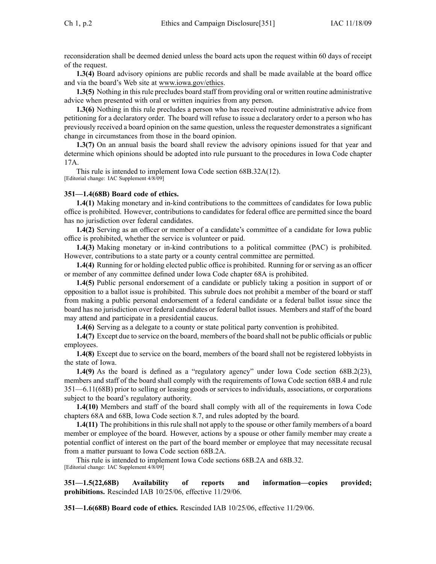reconsideration shall be deemed denied unless the board acts upon the reques<sup>t</sup> within 60 days of receipt of the request.

**1.3(4)** Board advisory opinions are public records and shall be made available at the board office and via the board's Web site at www.iowa.gov/ethics.

**1.3(5)** Nothing in this rule precludes board staff from providing oral or written routine administrative advice when presented with oral or written inquiries from any person.

**1.3(6)** Nothing in this rule precludes <sup>a</sup> person who has received routine administrative advice from petitioning for <sup>a</sup> declaratory order. The board will refuse to issue <sup>a</sup> declaratory order to <sup>a</sup> person who has previously received <sup>a</sup> board opinion on the same question, unlessthe requester demonstrates <sup>a</sup> significant change in circumstances from those in the board opinion.

**1.3(7)** On an annual basis the board shall review the advisory opinions issued for that year and determine which opinions should be adopted into rule pursuan<sup>t</sup> to the procedures in Iowa Code chapter 17A.

This rule is intended to implement Iowa Code section 68B.32A(12). [Editorial change: IAC Supplement 4/8/09]

# **351—1.4(68B) Board code of ethics.**

**1.4(1)** Making monetary and in-kind contributions to the committees of candidates for Iowa public office is prohibited. However, contributions to candidates for federal office are permitted since the board has no jurisdiction over federal candidates.

**1.4(2)** Serving as an officer or member of <sup>a</sup> candidate's committee of <sup>a</sup> candidate for Iowa public office is prohibited, whether the service is volunteer or paid.

**1.4(3)** Making monetary or in-kind contributions to <sup>a</sup> political committee (PAC) is prohibited. However, contributions to <sup>a</sup> state party or <sup>a</sup> county central committee are permitted.

**1.4(4)** Running for or holding elected public office is prohibited. Running for or serving as an officer or member of any committee defined under Iowa Code chapter 68A is prohibited.

**1.4(5)** Public personal endorsement of <sup>a</sup> candidate or publicly taking <sup>a</sup> position in suppor<sup>t</sup> of or opposition to <sup>a</sup> ballot issue is prohibited. This subrule does not prohibit <sup>a</sup> member of the board or staff from making <sup>a</sup> public personal endorsement of <sup>a</sup> federal candidate or <sup>a</sup> federal ballot issue since the board has no jurisdiction over federal candidates or federal ballot issues. Members and staff of the board may attend and participate in <sup>a</sup> presidential caucus.

**1.4(6)** Serving as <sup>a</sup> delegate to <sup>a</sup> county or state political party convention is prohibited.

**1.4(7)** Except due to service on the board, members of the board shall not be public officials or public employees.

**1.4(8)** Except due to service on the board, members of the board shall not be registered lobbyists in the state of Iowa.

**1.4(9)** As the board is defined as <sup>a</sup> "regulatory agency" under Iowa Code section 68B.2(23), members and staff of the board shall comply with the requirements of Iowa Code section 68B.4 and rule 351—6.11(68B) prior to selling or leasing goods or services to individuals, associations, or corporations subject to the board's regulatory authority.

**1.4(10)** Members and staff of the board shall comply with all of the requirements in Iowa Code chapters 68A and 68B, Iowa Code section 8.7, and rules adopted by the board.

**1.4(11)** The prohibitions in this rule shall not apply to the spouse or other family members of <sup>a</sup> board member or employee of the board. However, actions by <sup>a</sup> spouse or other family member may create <sup>a</sup> potential conflict of interest on the par<sup>t</sup> of the board member or employee that may necessitate recusal from <sup>a</sup> matter pursuan<sup>t</sup> to Iowa Code section 68B.2A.

This rule is intended to implement Iowa Code sections 68B.2A and 68B.32. [Editorial change: IAC Supplement 4/8/09]

**351—1.5(22,68B) Availability of reports and information—copies provided; prohibitions.** Rescinded IAB 10/25/06, effective 11/29/06.

**351—1.6(68B) Board code of ethics.** Rescinded IAB 10/25/06, effective 11/29/06.